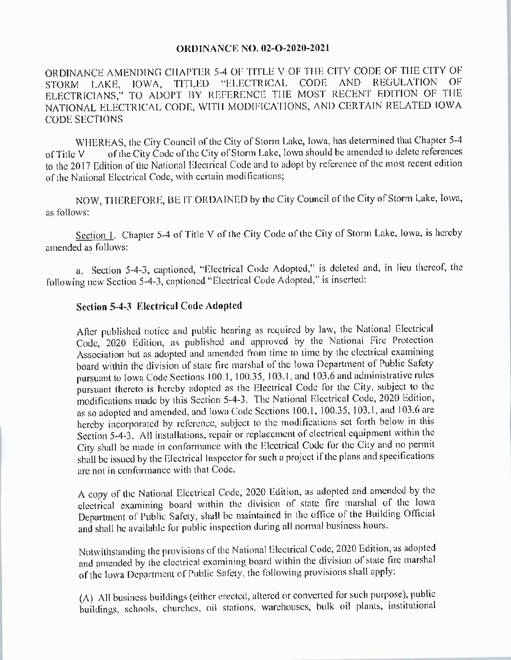## **ORDINANCE NO. 02-O-2020-2021**

ORDINANCE AMENDING CHAPTER 5-4 OF TITLE V OF THE CITY CODE OF THE CITY OF STORM LAKE, IOWA, TITLED "ELECTRICAL CODE AND REGULATION OF ELECTRICIANS," TO ADOPT BY REFERENCE THE MOST RECENT EDITION OF THE NATIONAL ELECTRICAL CODE, WITH MODIFICATIONS, AND CERTAIN RELATED IOWA CODE SECTIONS

WHEREAS, the City Council of the City of Storm Lake, Iowa, has determined that Chapter 5-4<br>of Title V of the City Code of the City of Storm Lake, Iowa should be amended to delete references of the City Code of the City of Storm Lake, Iowa should be amended to delete references to the 2017 Edition of the National Electrical Code and to adopt by reference of the most recent edition of the National Electrical Code, with certain modifications;

NOW, THEREFORE, BE IT ORDAINED by the City Council of the City of Storm Lake, Iowa, as follows:

Section 1. Chapter 5-4 of Title V of the City Code of the City of Storm Lake, Iowa, is hereby amended as follows:

a. Section 5-4-3, captioned, "Electrical Code Adopted," is deleted and, in lieu thereof, the following new Section 5-4-3, captioned "Electrical Code Adopted," is inserted:

## Section 5-4-3 Electrical Code Adopted

After published notice and public hearing as required by law, the National Electrical Code, 2020 Edition, as published and approved by the National Fire Protection Association but as adopted and amended from time to time by the electrical examining board within the division of state fire marshal of the Iowa Department of Public Safety pursuant to Iowa Code Sections 100.1, 100.35, 103.1, and 103.6 and administrative rules pursuant thereto is hereby adopted as the Electrical Code for the City, subject to the modifications made by this Section 5-4-3. The National Electrical Code, 2020 Edition, as so adopted and amended, and Iowa Code Sections 100.1, 100.35, 103.1, and 103.6 are<br>hereby incorporated by reference, subject to the modifications set forth below in this hereby incorporated by reference, subject to the modifications set forth below in this Section 5-4-3. All installations, repair or replacement of electrical equipment within the City shall be made in conformance with the Electrical Code for the City and no permit shall be issued by the Electrical Inspector for such a project ifthe plans and specifications are not in conformance with that Code.

A copy of the National Electrical Code, 2020 Edition, as adopted and amended by the electrical examining board within the division of state fire marshal of the Iowa Department of Public Safety, shall be maintained in the office of the Building Official and shall be available for public inspection during all normal business hours.

Notwithstanding the provisions of the National Electrical Code, 2020 Edition, as adopted and amended by the electrical examining board within the division of state fire marshal of the Iowa Department of Public Safety, the following provisions shall apply:

A) All business buildings ( either erected, altered or converted for such purpose), public buildings, schools, churches, oil stations, warehouses, bulk oil plants, institutional